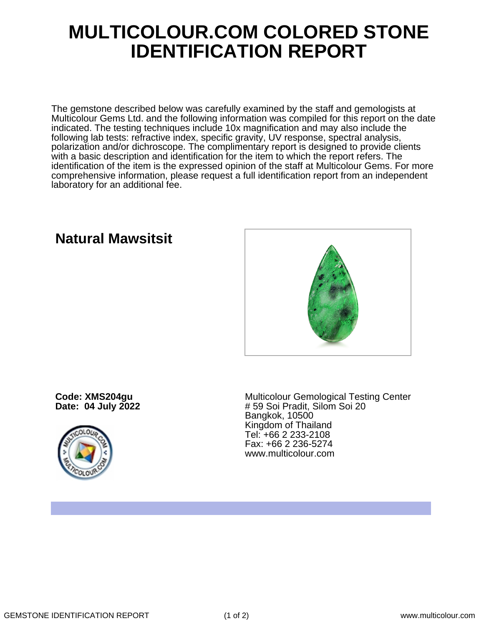## **MULTICOLOUR.COM COLORED STONE IDENTIFICATION REPORT**

The gemstone described below was carefully examined by the staff and gemologists at Multicolour Gems Ltd. and the following information was compiled for this report on the date indicated. The testing techniques include 10x magnification and may also include the following lab tests: refractive index, specific gravity, UV response, spectral analysis, polarization and/or dichroscope. The complimentary report is designed to provide clients with a basic description and identification for the item to which the report refers. The identification of the item is the expressed opinion of the staff at Multicolour Gems. For more comprehensive information, please request a full identification report from an independent laboratory for an additional fee.

**Natural Mawsitsit**

**Code: XMS204gu Date: 04 July 2022**



Multicolour Gemological Testing Center # 59 Soi Pradit, Silom Soi 20 Bangkok, 10500 Kingdom of Thailand Tel: +66 2 233-2108 Fax: +66 2 236-5274 www.multicolour.com